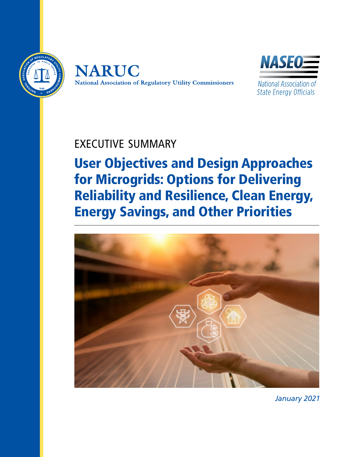





National Association of **State Energy Officials** 

## EXECUTIVE SUMMARY

User Objectives and Design Approaches for Microgrids: Options for Delivering Reliability and Resilience, Clean Energy, Energy Savings, and Other Priorities



*January 2021*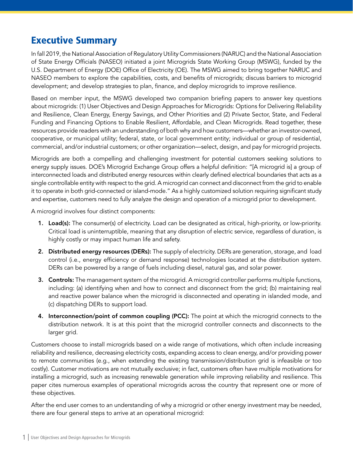## Executive Summary

In fall 2019, the National Association of Regulatory Utility Commissioners (NARUC) and the National Association of State Energy Officials (NASEO) initiated a joint Microgrids State Working Group (MSWG), funded by the U.S. Department of Energy (DOE) Office of Electricity (OE). The MSWG aimed to bring together NARUC and NASEO members to explore the capabilities, costs, and benefits of microgrids; discuss barriers to microgrid development; and develop strategies to plan, finance, and deploy microgrids to improve resilience.

Based on member input, the MSWG developed two companion briefing papers to answer key questions about microgrids: (1) User Objectives and Design Approaches for Microgrids: Options for Delivering Reliability and Resilience, Clean Energy, Energy Savings, and Other Priorities and (2) Private Sector, State, and Federal Funding and Financing Options to Enable Resilient, Affordable, and Clean Microgrids. Read together, these resources provide readers with an understanding of both why and how customers—whether an investor-owned, cooperative, or municipal utility; federal, state, or local government entity; individual or group of residential, commercial, and/or industrial customers; or other organization—select, design, and pay for microgrid projects.

Microgrids are both a compelling and challenging investment for potential customers seeking solutions to energy supply issues. DOE's Microgrid Exchange Group offers a helpful definition: "[A microgrid is] a group of interconnected loads and distributed energy resources within clearly defined electrical boundaries that acts as a single controllable entity with respect to the grid. A microgrid can connect and disconnect from the grid to enable it to operate in both grid-connected or island-mode." As a highly customized solution requiring significant study and expertise, customers need to fully analyze the design and operation of a microgrid prior to development.

A microgrid involves four distinct components:

- 1. Load(s): The consumer(s) of electricity. Load can be designated as critical, high-priority, or low-priority. Critical load is uninterruptible, meaning that any disruption of electric service, regardless of duration, is highly costly or may impact human life and safety.
- 2. Distributed energy resources (DERs): The supply of electricity. DERs are generation, storage, and load control (i.e., energy efficiency or demand response) technologies located at the distribution system. DERs can be powered by a range of fuels including diesel, natural gas, and solar power.
- **3. Controls:** The management system of the microgrid. A microgrid controller performs multiple functions, including: (a) identifying when and how to connect and disconnect from the grid; (b) maintaining real and reactive power balance when the microgrid is disconnected and operating in islanded mode, and (c) dispatching DERs to support load.
- 4. Interconnection/point of common coupling (PCC): The point at which the microgrid connects to the distribution network. It is at this point that the microgrid controller connects and disconnects to the larger grid.

Customers choose to install microgrids based on a wide range of motivations, which often include increasing reliability and resilience, decreasing electricity costs, expanding access to clean energy, and/or providing power to remote communities (e.g., when extending the existing transmission/distribution grid is infeasible or too costly). Customer motivations are not mutually exclusive; in fact, customers often have multiple motivations for installing a microgrid, such as increasing renewable generation while improving reliability and resilience. This paper cites numerous examples of operational microgrids across the country that represent one or more of these objectives.

After the end user comes to an understanding of why a microgrid or other energy investment may be needed, there are four general steps to arrive at an operational microgrid: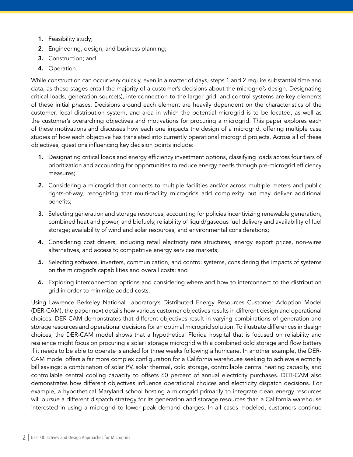- 1. Feasibility study;
- 2. Engineering, design, and business planning;
- 3. Construction; and
- 4. Operation.

While construction can occur very quickly, even in a matter of days, steps 1 and 2 require substantial time and data, as these stages entail the majority of a customer's decisions about the microgrid's design. Designating critical loads, generation source(s), interconnection to the larger grid, and control systems are key elements of these initial phases. Decisions around each element are heavily dependent on the characteristics of the customer, local distribution system, and area in which the potential microgrid is to be located, as well as the customer's overarching objectives and motivations for procuring a microgrid. This paper explores each of these motivations and discusses how each one impacts the design of a microgrid, offering multiple case studies of how each objective has translated into currently operational microgrid projects. Across all of these objectives, questions influencing key decision points include:

- 1. Designating critical loads and energy efficiency investment options, classifying loads across four tiers of prioritization and accounting for opportunities to reduce energy needs through pre-microgrid efficiency measures;
- 2. Considering a microgrid that connects to multiple facilities and/or across multiple meters and public rights-of-way, recognizing that multi-facility microgrids add complexity but may deliver additional benefits;
- 3. Selecting generation and storage resources, accounting for policies incentivizing renewable generation, combined heat and power, and biofuels; reliability of liquid/gaseous fuel delivery and availability of fuel storage; availability of wind and solar resources; and environmental considerations;
- 4. Considering cost drivers, including retail electricity rate structures, energy export prices, non-wires alternatives, and access to competitive energy services markets;
- 5. Selecting software, inverters, communication, and control systems, considering the impacts of systems on the microgrid's capabilities and overall costs; and
- 6. Exploring interconnection options and considering where and how to interconnect to the distribution grid in order to minimize added costs.

Using Lawrence Berkeley National Laboratory's Distributed Energy Resources Customer Adoption Model (DER-CAM), the paper next details how various customer objectives results in different design and operational choices. DER-CAM demonstrates that different objectives result in varying combinations of generation and storage resources and operational decisions for an optimal microgrid solution. To illustrate differences in design choices, the DER-CAM model shows that a hypothetical Florida hospital that is focused on reliability and resilience might focus on procuring a solar+storage microgrid with a combined cold storage and flow battery if it needs to be able to operate islanded for three weeks following a hurricane. In another example, the DER-CAM model offers a far more complex configuration for a California warehouse seeking to achieve electricity bill savings: a combination of solar PV, solar thermal, cold storage, controllable central heating capacity, and controllable central cooling capacity to offsets 60 percent of annual electricity purchases. DER-CAM also demonstrates how different objectives influence operational choices and electricity dispatch decisions. For example, a hypothetical Maryland school hosting a microgrid primarily to integrate clean energy resources will pursue a different dispatch strategy for its generation and storage resources than a California warehouse interested in using a microgrid to lower peak demand charges. In all cases modeled, customers continue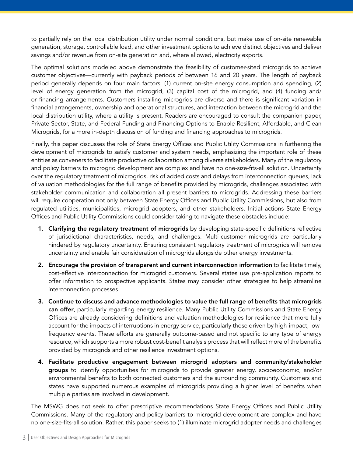to partially rely on the local distribution utility under normal conditions, but make use of on-site renewable generation, storage, controllable load, and other investment options to achieve distinct objectives and deliver savings and/or revenue from on-site generation and, where allowed, electricity exports.

The optimal solutions modeled above demonstrate the feasibility of customer-sited microgrids to achieve customer objectives—currently with payback periods of between 16 and 20 years. The length of payback period generally depends on four main factors: (1) current on-site energy consumption and spending, (2) level of energy generation from the microgrid, (3) capital cost of the microgrid, and (4) funding and/ or financing arrangements. Customers installing microgrids are diverse and there is significant variation in financial arrangements, ownership and operational structures, and interaction between the microgrid and the local distribution utility, where a utility is present. Readers are encouraged to consult the companion paper, Private Sector, State, and Federal Funding and Financing Options to Enable Resilient, Affordable, and Clean Microgrids, for a more in-depth discussion of funding and financing approaches to microgrids.

Finally, this paper discusses the role of State Energy Offices and Public Utility Commissions in furthering the development of microgrids to satisfy customer and system needs, emphasizing the important role of these entities as conveners to facilitate productive collaboration among diverse stakeholders. Many of the regulatory and policy barriers to microgrid development are complex and have no one-size-fits-all solution. Uncertainty over the regulatory treatment of microgrids, risk of added costs and delays from interconnection queues, lack of valuation methodologies for the full range of benefits provided by microgrids, challenges associated with stakeholder communication and collaboration all present barriers to microgrids. Addressing these barriers will require cooperation not only between State Energy Offices and Public Utility Commissions, but also from regulated utilities, municipalities, microgrid adopters, and other stakeholders. Initial actions State Energy Offices and Public Utility Commissions could consider taking to navigate these obstacles include:

- 1. Clarifying the regulatory treatment of microgrids by developing state-specific definitions reflective of jurisdictional characteristics, needs, and challenges. Multi-customer microgrids are particularly hindered by regulatory uncertainty. Ensuring consistent regulatory treatment of microgrids will remove uncertainty and enable fair consideration of microgrids alongside other energy investments.
- 2. Encourage the provision of transparent and current interconnection information to facilitate timely, cost-effective interconnection for microgrid customers. Several states use pre-application reports to offer information to prospective applicants. States may consider other strategies to help streamline interconnection processes.
- 3. Continue to discuss and advance methodologies to value the full range of benefits that microgrids can offer, particularly regarding energy resilience. Many Public Utility Commissions and State Energy Offices are already considering definitions and valuation methodologies for resilience that more fully account for the impacts of interruptions in energy service, particularly those driven by high-impact, lowfrequency events. These efforts are generally outcome-based and not specific to any type of energy resource, which supports a more robust cost-benefit analysis process that will reflect more of the benefits provided by microgrids and other resilience investment options.
- 4. Facilitate productive engagement between microgrid adopters and community/stakeholder groups to identify opportunities for microgrids to provide greater energy, socioeconomic, and/or environmental benefits to both connected customers and the surrounding community. Customers and states have supported numerous examples of microgrids providing a higher level of benefits when multiple parties are involved in development.

The MSWG does not seek to offer prescriptive recommendations State Energy Offices and Public Utility Commissions. Many of the regulatory and policy barriers to microgrid development are complex and have no one-size-fits-all solution. Rather, this paper seeks to (1) illuminate microgrid adopter needs and challenges